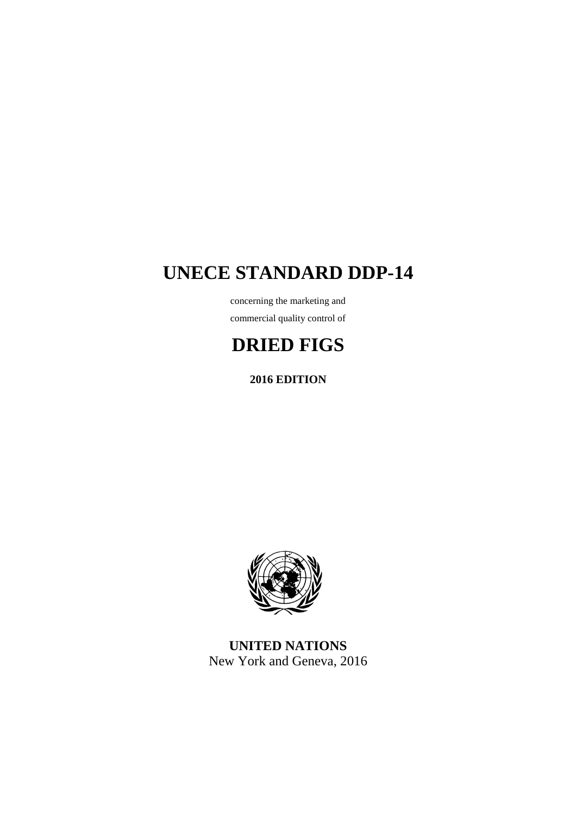# **UNECE STANDARD DDP-14**

concerning the marketing and commercial quality control of

# **DRIED FIGS**

**2016 EDITION** 



**UNITED NATIONS**  New York and Geneva, 2016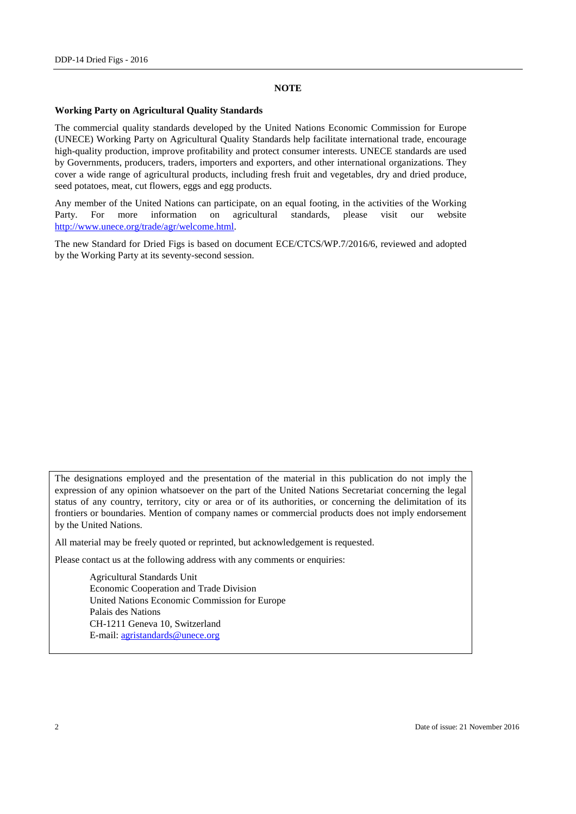#### **NOTE**

### **Working Party on Agricultural Quality Standards**

The commercial quality standards developed by the United Nations Economic Commission for Europe (UNECE) Working Party on Agricultural Quality Standards help facilitate international trade, encourage high-quality production, improve profitability and protect consumer interests. UNECE standards are used by Governments, producers, traders, importers and exporters, and other international organizations. They cover a wide range of agricultural products, including fresh fruit and vegetables, dry and dried produce, seed potatoes, meat, cut flowers, eggs and egg products.

Any member of the United Nations can participate, on an equal footing, in the activities of the Working Party. For more information on agricultural standards, please visit our website http://www.unece.org/trade/agr/welcome.html.

The new Standard for Dried Figs is based on document ECE/CTCS/WP.7/2016/6, reviewed and adopted by the Working Party at its seventy-second session.

The designations employed and the presentation of the material in this publication do not imply the expression of any opinion whatsoever on the part of the United Nations Secretariat concerning the legal status of any country, territory, city or area or of its authorities, or concerning the delimitation of its frontiers or boundaries. Mention of company names or commercial products does not imply endorsement by the United Nations.

All material may be freely quoted or reprinted, but acknowledgement is requested.

Please contact us at the following address with any comments or enquiries:

 Agricultural Standards Unit Economic Cooperation and Trade Division United Nations Economic Commission for Europe Palais des Nations CH-1211 Geneva 10, Switzerland E-mail: agristandards@unece.org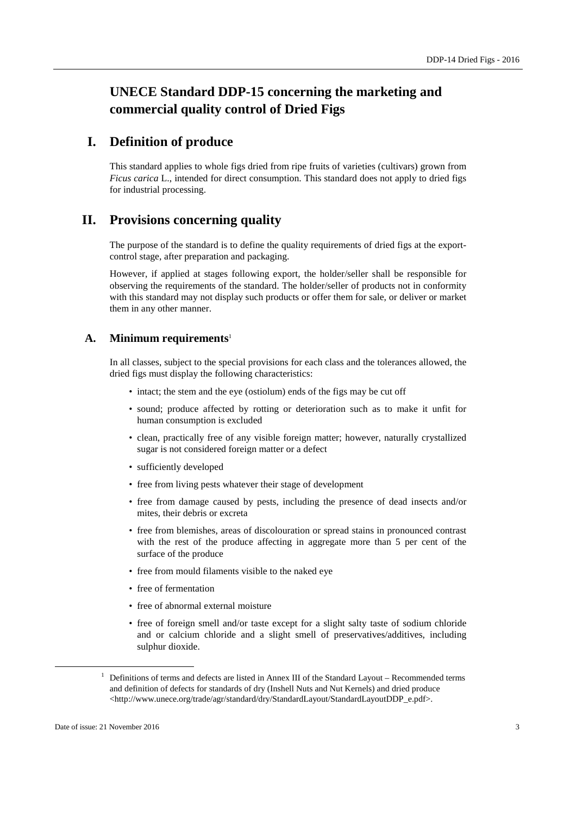# **UNECE Standard DDP-15 concerning the marketing and commercial quality control of Dried Figs**

## **I. Definition of produce**

This standard applies to whole figs dried from ripe fruits of varieties (cultivars) grown from *Ficus carica* L., intended for direct consumption. This standard does not apply to dried figs for industrial processing.

# **II. Provisions concerning quality**

The purpose of the standard is to define the quality requirements of dried figs at the exportcontrol stage, after preparation and packaging.

However, if applied at stages following export, the holder/seller shall be responsible for observing the requirements of the standard. The holder/seller of products not in conformity with this standard may not display such products or offer them for sale, or deliver or market them in any other manner.

### **A. Minimum requirements**<sup>1</sup>

In all classes, subject to the special provisions for each class and the tolerances allowed, the dried figs must display the following characteristics:

- intact; the stem and the eye (ostiolum) ends of the figs may be cut off
- sound; produce affected by rotting or deterioration such as to make it unfit for human consumption is excluded
- clean, practically free of any visible foreign matter; however, naturally crystallized sugar is not considered foreign matter or a defect
- sufficiently developed
- free from living pests whatever their stage of development
- free from damage caused by pests, including the presence of dead insects and/or mites, their debris or excreta
- free from blemishes, areas of discolouration or spread stains in pronounced contrast with the rest of the produce affecting in aggregate more than 5 per cent of the surface of the produce
- free from mould filaments visible to the naked eye
- free of fermentation
- free of abnormal external moisture
- free of foreign smell and/or taste except for a slight salty taste of sodium chloride and or calcium chloride and a slight smell of preservatives/additives, including sulphur dioxide.

<sup>&</sup>lt;sup>1</sup> Definitions of terms and defects are listed in Annex III of the Standard Layout – Recommended terms and definition of defects for standards of dry (Inshell Nuts and Nut Kernels) and dried produce <http://www.unece.org/trade/agr/standard/dry/StandardLayout/StandardLayoutDDP\_e.pdf>.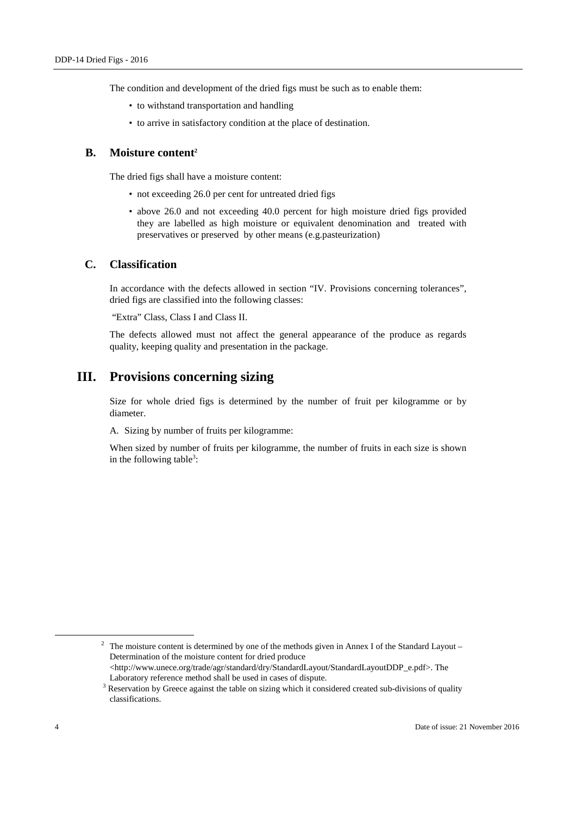The condition and development of the dried figs must be such as to enable them:

- to withstand transportation and handling
- to arrive in satisfactory condition at the place of destination.

### **B. Moisture content<sup>2</sup>**

The dried figs shall have a moisture content:

- not exceeding 26.0 per cent for untreated dried figs
- above 26.0 and not exceeding 40.0 percent for high moisture dried figs provided they are labelled as high moisture or equivalent denomination and treated with preservatives or preserved by other means (e.g.pasteurization)

### **C. Classification**

In accordance with the defects allowed in section "IV. Provisions concerning tolerances", dried figs are classified into the following classes:

"Extra" Class, Class I and Class II.

The defects allowed must not affect the general appearance of the produce as regards quality, keeping quality and presentation in the package.

# **III. Provisions concerning sizing**

Size for whole dried figs is determined by the number of fruit per kilogramme or by diameter.

A. Sizing by number of fruits per kilogramme:

When sized by number of fruits per kilogramme, the number of fruits in each size is shown in the following table<sup>3</sup>:

<sup>&</sup>lt;sup>2</sup> The moisture content is determined by one of the methods given in Annex I of the Standard Layout – Determination of the moisture content for dried produce <http://www.unece.org/trade/agr/standard/dry/StandardLayout/StandardLayoutDDP\_e.pdf>. The Laboratory reference method shall be used in cases of dispute.

 $3$  Reservation by Greece against the table on sizing which it considered created sub-divisions of quality classifications.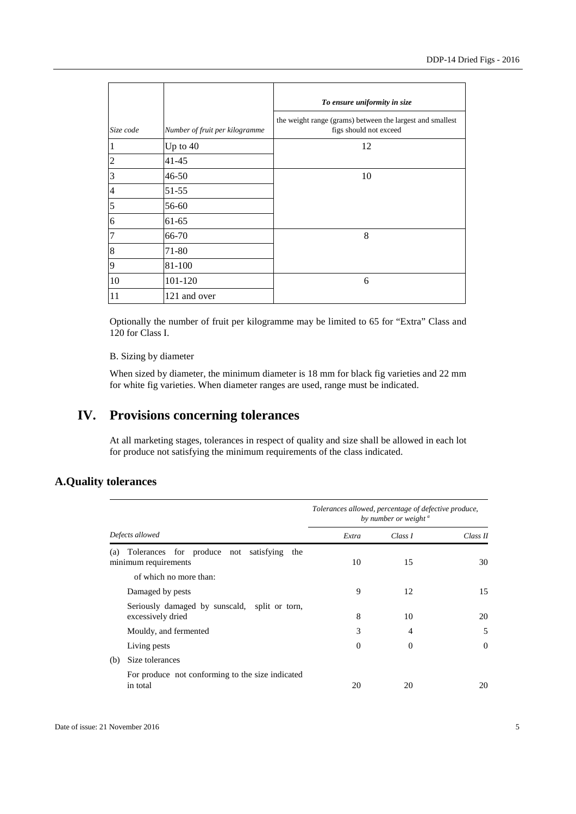|                          |                                | To ensure uniformity in size                                                        |  |
|--------------------------|--------------------------------|-------------------------------------------------------------------------------------|--|
| Size code                | Number of fruit per kilogramme | the weight range (grams) between the largest and smallest<br>figs should not exceed |  |
| $\mathbf{1}$             | Up to 40                       | 12                                                                                  |  |
| $\overline{c}$           | $41 - 45$                      |                                                                                     |  |
| 3                        | 46-50                          | 10                                                                                  |  |
| $\overline{\mathcal{L}}$ | 51-55                          |                                                                                     |  |
| 5                        | 56-60                          |                                                                                     |  |
| 6                        | $61 - 65$                      |                                                                                     |  |
| $\overline{7}$           | 66-70                          | 8                                                                                   |  |
| 8                        | 71-80                          |                                                                                     |  |
| 9                        | 81-100                         |                                                                                     |  |
| 10                       | 101-120                        | 6                                                                                   |  |
| 11                       | 121 and over                   |                                                                                     |  |

Optionally the number of fruit per kilogramme may be limited to 65 for "Extra" Class and 120 for Class I.

### B. Sizing by diameter

When sized by diameter, the minimum diameter is 18 mm for black fig varieties and 22 mm for white fig varieties. When diameter ranges are used, range must be indicated.

# **IV. Provisions concerning tolerances**

At all marketing stages, tolerances in respect of quality and size shall be allowed in each lot for produce not satisfying the minimum requirements of the class indicated.

## **A.Quality tolerances**

|                                                                                                       | Tolerances allowed, percentage of defective produce,<br>by number or weight <sup>a</sup> |                |          |
|-------------------------------------------------------------------------------------------------------|------------------------------------------------------------------------------------------|----------------|----------|
| Defects allowed                                                                                       | Extra                                                                                    | Class 1        | Class II |
| Tolerances for produce not satisfying<br>the<br>(a)<br>minimum requirements<br>of which no more than: | 10                                                                                       | 15             | 30       |
| Damaged by pests                                                                                      | 9                                                                                        | 12             | 15       |
| Seriously damaged by sunscald, split or torn,<br>excessively dried                                    | 8                                                                                        | 10             | 20       |
| Mouldy, and fermented                                                                                 | 3                                                                                        | $\overline{4}$ | 5        |
| Living pests                                                                                          | $\mathbf{0}$                                                                             | $\Omega$       | $\Omega$ |
| Size tolerances<br>(b)                                                                                |                                                                                          |                |          |
| For produce not conforming to the size indicated<br>in total                                          | 20                                                                                       | 20             | 20       |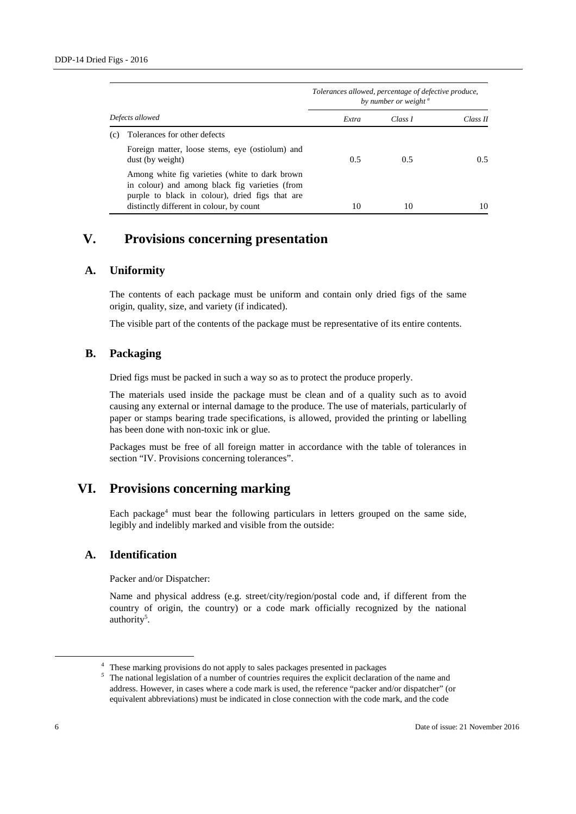|                 |                                                                                                                                                     | Tolerances allowed, percentage of defective produce,<br>by number or weight <sup>a</sup> |         |          |
|-----------------|-----------------------------------------------------------------------------------------------------------------------------------------------------|------------------------------------------------------------------------------------------|---------|----------|
| Defects allowed |                                                                                                                                                     | Extra                                                                                    | Class I | Class II |
| (c)             | Tolerances for other defects                                                                                                                        |                                                                                          |         |          |
|                 | Foreign matter, loose stems, eye (ostiolum) and<br>dust (by weight)                                                                                 | 0.5                                                                                      | 0.5     | 0.5      |
|                 | Among white fig varieties (white to dark brown<br>in colour) and among black fig varieties (from<br>purple to black in colour), dried figs that are |                                                                                          |         |          |
|                 | distinctly different in colour, by count                                                                                                            | 10                                                                                       | 10      | 10       |

# **V. Provisions concerning presentation**

### **A. Uniformity**

The contents of each package must be uniform and contain only dried figs of the same origin, quality, size, and variety (if indicated).

The visible part of the contents of the package must be representative of its entire contents.

### **B. Packaging**

Dried figs must be packed in such a way so as to protect the produce properly.

The materials used inside the package must be clean and of a quality such as to avoid causing any external or internal damage to the produce. The use of materials, particularly of paper or stamps bearing trade specifications, is allowed, provided the printing or labelling has been done with non-toxic ink or glue.

Packages must be free of all foreign matter in accordance with the table of tolerances in section "IV. Provisions concerning tolerances".

# **VI. Provisions concerning marking**

Each package<sup>4</sup> must bear the following particulars in letters grouped on the same side, legibly and indelibly marked and visible from the outside:

### **A. Identification**

Packer and/or Dispatcher:

Name and physical address (e.g. street/city/region/postal code and, if different from the country of origin, the country) or a code mark officially recognized by the national authority<sup>5</sup>.

<sup>&</sup>lt;sup>4</sup> These marking provisions do not apply to sales packages presented in packages

*<sup>5</sup>* The national legislation of a number of countries requires the explicit declaration of the name and address. However, in cases where a code mark is used, the reference "packer and/or dispatcher" (or equivalent abbreviations) must be indicated in close connection with the code mark, and the code